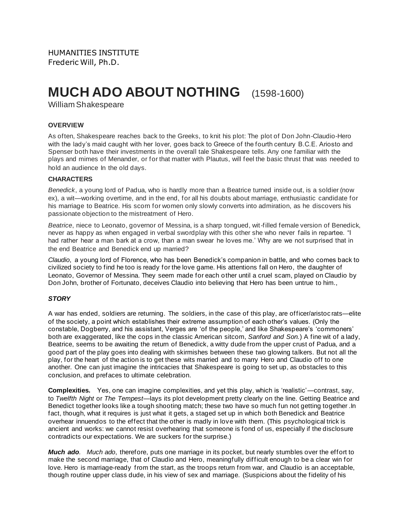# **MUCH ADO ABOUT NOTHING** (1598-1600)

William Shakespeare

## **OVERVIEW**

As often, Shakespeare reaches back to the Greeks, to knit his plot: The plot of Don John-Claudio-Hero with the lady's maid caught with her lover, goes back to Greece of the fourth century B.C.E. Ariosto and Spenser both have their investments in the overall tale Shakespeare tells. Any one familiar with the plays and mimes of Menander, or for that matter with Plautus, will feel the basic thrust that was needed to hold an audience In the old days.

### **CHARACTERS**

*Benedick*, a young lord of Padua, who is hardly more than a Beatrice turned inside out, is a soldier (now ex), a wit—working overtime, and in the end, for all his doubts about marriage, enthusiastic candidate for his marriage to Beatrice. His scorn for women only slowly converts into admiration, as he discovers his passionate objection to the mistreatment of Hero.

*Beatrice*, niece to Leonato, governor of Messina, is a sharp tongued, wit-filled female version of Benedick, never as happy as when engaged in verbal swordplay with this other she who never fails in repartee. "I had rather hear a man bark at a crow, than a man swear he loves me.' Why are we not surprised that in the end Beatrice and Benedick end up married?

*Claudio*, a young lord of Florence, who has been Benedick's companion in battle, and who comes back to civilized society to find he too is ready for the love game. His attentions fall on Hero, the daughter of Leonato, Governor of Messina. They seem made for each other until a cruel scam, played on Claudio by Don John, brother of Fortunato, deceives Claudio into believing that Hero has been untrue to him.,

### *STORY*

A war has ended, soldiers are returning. The soldiers, in the case of this play, are officer/aristoc rats—elite of the society, a point which establishes their extreme assumption of each other's values. (Only the constable, Dogberry, and his assistant, Verges are 'of the people,' and like Shakespeare's 'commoners' both are exaggerated, like the cops in the classic American sitcom, *Sanford and Son.*) A fine wit of a lady, Beatrice, seems to be awaiting the return of Benedick, a witty dude from the upper crust of Padua, and a good part of the play goes into dealing with skirmishes between these two glowing talkers. But not all the play, for the heart of the action is to get these wits married and to marry Hero and Claudio off to one another. One can just imagine the intricacies that Shakespeare is going to set up, as obstacles to this conclusion, and prefaces to ultimate celebration.

**Complexities.** Yes, one can imagine complexities, and yet this play, which is 'realistic'—contrast, say, to *Twelfth Night* or *The Tempest*—lays its plot development pretty clearly on the line. Getting Beatrice and Benedict together looks like a tough shooting match; these two have so much fun not getting together .In fact, though, what it requires is just what it gets, a staged set up in which both Benedick and Beatrice overhear innuendos to the effect that the other is madly in love with them. (This psychological trick is ancient and works: we cannot resist overhearing that someone is fond of us, especially if the disclosure contradicts our expectations. We are suckers for the surprise.)

*Much ado. Much ado*, therefore, puts one marriage in its pocket, but nearly stumbles over the effort to make the second marriage, that of Claudio and Hero, meaningfully difficult enough to be a clear win for love. Hero is marriage-ready from the start, as the troops return from war, and Claudio is an acceptable, though routine upper class dude, in his view of sex and marriage. (Suspicions about the fidelity of his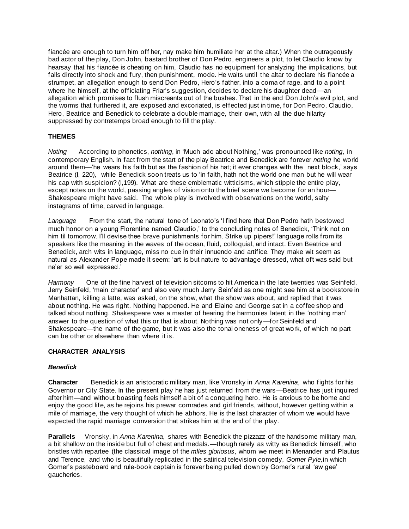fiancée are enough to turn him off her, nay make him humiliate her at the altar.) When the outrageously bad actor of the play, Don John, bastard brother of Don Pedro, engineers a plot, to let Claudio know by hearsay that his fiancée is cheating on him, Claudio has no equipment for analyzing the implications, but falls directly into shock and fury, then punishment, mode. He waits until the altar to declare his fiancée a strumpet, an allegation enough to send Don Pedro, Hero's father, into a coma of rage, and to a point where he himself, at the officiating Friar's suggestion, decides to declare his daughter dead —an allegation which promises to flush miscreants out of the bushes. That in the end Don John's evil plot, and the worms that furthered it, are exposed and excoriated, is effected just in time, for Don Pedro, Claudio, Hero, Beatrice and Benedick to celebrate a double marriage, their own, with all the due hilarity suppressed by contretemps broad enough to fill the play.

## **THEMES**

*Noting* According to phonetics, *nothing*, in 'Much ado about Nothing,' was pronounced like *noting*, in contemporary English. In fact from the start of the play Beatrice and Benedick are forever *noting* he world around them—'he wears his faith but as the fashion of his hat; it ever changes with the next block,' says Beatrice (I, 220), while Benedick soon treats us to 'in faith, hath not the world one man but he will wear his cap with suspicion? (I,199). What are these emblematic witticisms, which stipple the entire play, except notes on the world, passing angles of vision onto the brief scene we become for an hour— Shakespeare might have said. The whole play is involved with observations on the world, salty instagrams of time, carved in language.

*Language* From the start, the natural tone of Leonato's 'I find here that Don Pedro hath bestowed much honor on a young Florentine named Claudio,' to the concluding notes of Benedick, 'Think not on him til tomorrow. I'll devise thee brave punishments for him. Strike up pipers!' language rolls from its speakers like the meaning in the waves of the ocean, fluid, colloquial, and intact. Even Beatrice and Benedick, arch wits in language, miss no cue in their innuendo and artifice. They make wit seem as natural as Alexander Pope made it seem: 'art is but nature to advantage dressed, what oft was said but ne'er so well expressed.'

*Harmony* One of the fine harvest of television sitcoms to hit America in the late twenties was Seinfeld. Jerry Seinfeld, 'main character' and also very much Jerry Seinfeld as one might see him at a bookstore in Manhattan, killing a latte, was asked, on the show, what the show was about, and replied that it was about nothing. He was right. Nothing happened. He and Elaine and George sat in a coffee shop and talked about nothing. Shakespeare was a master of hearing the harmonies latent in the 'nothing man' answer to the question of what this or that is about. Nothing was not only—for Seinfeld and Shakespeare—the name of the game, but it was also the tonal oneness of great work, of which no part can be other or elsewhere than where it is.

### **CHARACTER ANALYSIS**

### *Benedick*

**Character** Benedick is an aristocratic military man, like Vronsky in *Anna Karenina*, who fights for his Governor or City State. In the present play he has just returned from the wars—Beatrice has just inquired after him—and without boasting feels himself a bit of a conquering hero. He is anxious to be home and enjoy the good life, as he rejoins his prewar comrades and girl friends, without, however getting within a mile of marriage, the very thought of which he abhors. He is the last character of whom we would have expected the rapid marriage conversion that strikes him at the end of the play.

**Parallels** Vronsky, in *Anna Karenina*, shares with Benedick the pizzazz of the handsome military man, a bit shallow on the inside but full of chest and medals.—though rarely as witty as Benedick himself, who bristles with repartee (the classical image of the *mlles gloriosus*, whom we meet in Menander and Plautus and Terence, and who is beautifully replicated in the satirical television comedy, *Gomer Pyle,*in which Gomer's pasteboard and rule-book captain is forever being pulled down by Gomer's rural 'aw gee' gaucheries.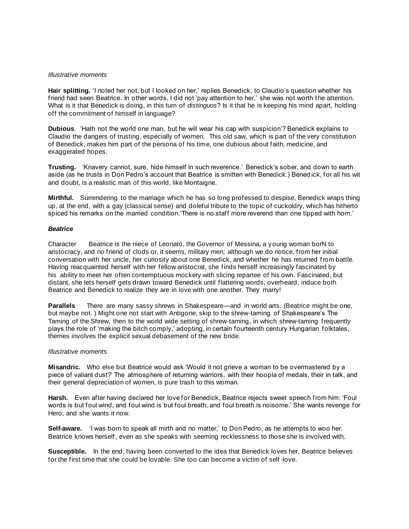#### *Illustrative moments*

**Hair splitting.** 'I noted her not, but I looked on her,' replies Benedick, to Claudio's question whether his friend had seen Beatrice. In other words, I did not 'pay attention to her,' she was not worth the attention. What is it that Benedick is doing, in this turn of *distinguos*? Is it that he is keeping his mind apart, holding off the commitment of himself in language?

**Dubious**. 'Hath not the world one man, but he will wear his cap with suspicion'? Benedick explains to Claudio the dangers of trusting, especially of women. This old saw, which is part of the very constitution of Benedick, makes him part of the persona of his time, one dubious about faith, medicine, and exaggerated hopes.

**Trusting.** 'Knavery cannot, sure, hide himself in such reverence.' Benedick's sober, and down to earth aside (as he trusts in Don Pedro's account that Beatrice is smitten with Benedick.) Bened ick, for all his wit and doubt, is a realistic man of this world, like Montaigne.

**Mirthful.** Surrendering to the marriage which he has so long professed to despise, Benedick wraps thing up, at the end, with a gay (classical sense) and doleful tribute to the topic of cuckoldry, which has hitherto spiced his remarks on the married condition.'There is no staff more reverend than one tipped with horn.'

#### *Beatrice*

Character Beatrice is the niece of Leonato, the Governor of Messina, a young woman borN to aristocracy, and no friend of clods or, it seems, military men; although we do notice, from her initial conversation with her uncle, her curiosity about one Benedick, and whether he has returned from battle. Having reacquainted herself with her fellow aristocrat, she finds herself increasingly fascinated by his ability to meet her often contemptuous mockery with slicing repartee of his own. Fascinated, but distant, she lets herself gets drawn toward Benedick until flattering words, overheard, induce both Beatrice and Benedick to realize they are in love with one another. They marry!

**Parallels** There are many sassy shrews in Shakespeare—and in world arts. (Beatrice might be one, but maybe not. ) Might one not start with Antigone, skip to the shrew-taming of Shakespeare's The Taming of the Shrew, then to the world wide setting of shrew-taming, in which shrew-taming frequently plays the role of 'making the bitch comply,' adopting, in certain fourteenth century Hungarian folktales, themes involves the explicit sexual debasement of the new bride.

#### *Illustrative moments*

**Misandric.** Who else but Beatrice would ask 'Would it not grieve a woman to be overmastered by a piece of valiant dust?' The atmosphere of returning warriors, with their hoopla of medals, their in talk, and their general depreciation of women, is pure trash to this woman.

**Harsh.** Even after having declared her love for Benedick, Beatrice rejects sweet speech from him: 'Foul words is but foul wind, and foul wind is but foul breath, and foul breath is noisome.' She wants revenge for Hero, and she wants it now.

**Self-aware.** 'I was born to speak all mirth and no matter,' to Don Pedro, as he attempts to woo her. Beatrice knows herself, even as she speaks with seeming recklessness to those she is involved with.

**Susceptible.** In the end, having been converted to the idea that Benedick loves her, Beatrice believes for the first time that she could be lovable. She too can become a victim of self -love.